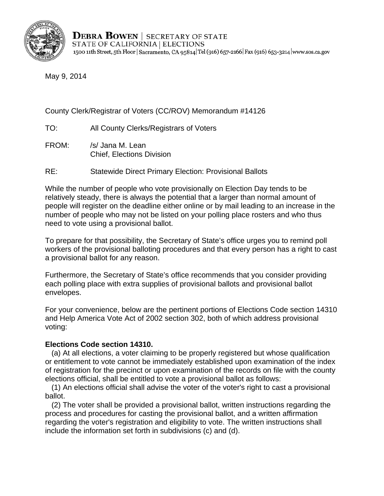

May 9, 2014

County Clerk/Registrar of Voters (CC/ROV) Memorandum #14126

TO: All County Clerks/Registrars of Voters

- FROM: /s/ Jana M. Lean Chief, Elections Division
- RE: Statewide Direct Primary Election: Provisional Ballots

While the number of people who vote provisionally on Election Day tends to be relatively steady, there is always the potential that a larger than normal amount of people will register on the deadline either online or by mail leading to an increase in the number of people who may not be listed on your polling place rosters and who thus need to vote using a provisional ballot.

To prepare for that possibility, the Secretary of State's office urges you to remind poll workers of the provisional balloting procedures and that every person has a right to cast a provisional ballot for any reason.

Furthermore, the Secretary of State's office recommends that you consider providing each polling place with extra supplies of provisional ballots and provisional ballot envelopes.

For your convenience, below are the pertinent portions of Elections Code section 14310 and Help America Vote Act of 2002 section 302, both of which address provisional voting:

## **Elections Code section 14310.**

 (a) At all elections, a voter claiming to be properly registered but whose qualification or entitlement to vote cannot be immediately established upon examination of the index of registration for the precinct or upon examination of the records on file with the county elections official, shall be entitled to vote a provisional ballot as follows:

(1) An elections official shall advise the voter of the voter's right to cast a provisional ballot.

(2) The voter shall be provided a provisional ballot, written instructions regarding the process and procedures for casting the provisional ballot, and a written affirmation regarding the voter's registration and eligibility to vote. The written instructions shall include the information set forth in subdivisions (c) and (d).